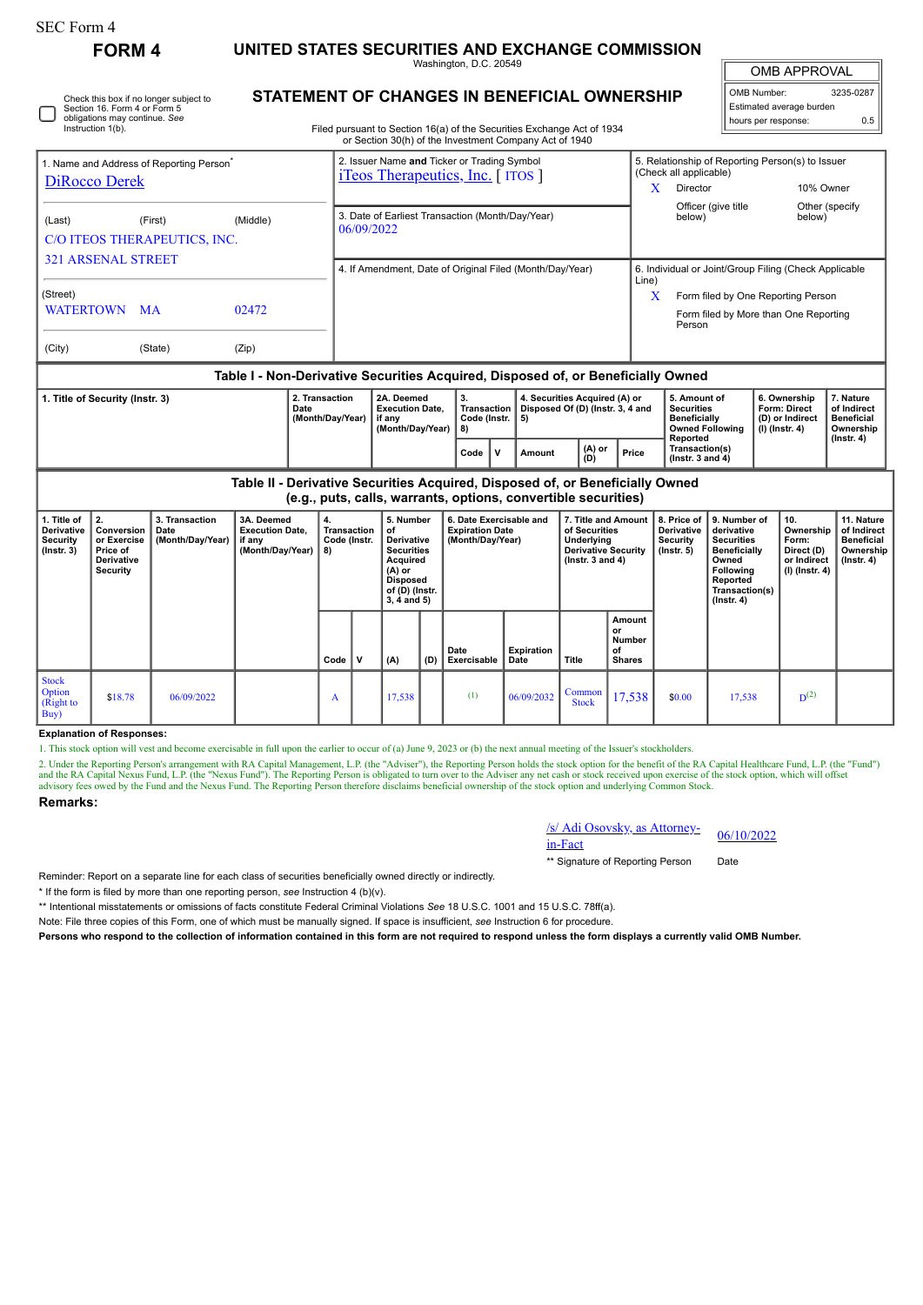| <b>FORM4</b>                                                                                            |          |                                                                                        | UNITED STATES SECURITIES AND EXCHANGE COMMISSION               | Washington, D.C. 20549                                                                                                           |                                                |                                                                                    |                                                                                                            |       | <b>OMB APPROVAL</b>                                                                                       |                                                                                                |                                                                   |                                                            |  |
|---------------------------------------------------------------------------------------------------------|----------|----------------------------------------------------------------------------------------|----------------------------------------------------------------|----------------------------------------------------------------------------------------------------------------------------------|------------------------------------------------|------------------------------------------------------------------------------------|------------------------------------------------------------------------------------------------------------|-------|-----------------------------------------------------------------------------------------------------------|------------------------------------------------------------------------------------------------|-------------------------------------------------------------------|------------------------------------------------------------|--|
| Check this box if no longer subject to<br>Section 16. Form 4 or Form 5<br>obligations may continue. See |          |                                                                                        |                                                                | STATEMENT OF CHANGES IN BENEFICIAL OWNERSHIP                                                                                     |                                                | 3235-0287<br>OMB Number:<br>Estimated average burden<br>0.5<br>hours per response: |                                                                                                            |       |                                                                                                           |                                                                                                |                                                                   |                                                            |  |
| Instruction 1(b).                                                                                       |          |                                                                                        |                                                                | Filed pursuant to Section 16(a) of the Securities Exchange Act of 1934<br>or Section 30(h) of the Investment Company Act of 1940 |                                                |                                                                                    |                                                                                                            |       |                                                                                                           |                                                                                                |                                                                   |                                                            |  |
| 1. Name and Address of Reporting Person <sup>®</sup><br><b>DiRocco Derek</b>                            |          | 2. Issuer Name and Ticker or Trading Symbol<br><i>i</i> Teos Therapeutics, Inc. [ITOS] |                                                                |                                                                                                                                  |                                                | X                                                                                  | 5. Relationship of Reporting Person(s) to Issuer<br>(Check all applicable)<br>10% Owner<br><b>Director</b> |       |                                                                                                           |                                                                                                |                                                                   |                                                            |  |
| (First)<br>(Last)<br>C/O ITEOS THERAPEUTICS, INC.<br><b>321 ARSENAL STREET</b>                          | (Middle) |                                                                                        | 3. Date of Earliest Transaction (Month/Day/Year)<br>06/09/2022 |                                                                                                                                  |                                                |                                                                                    |                                                                                                            |       |                                                                                                           | Officer (give title<br>Other (specify<br>below)<br>below)                                      |                                                                   |                                                            |  |
| (Street)                                                                                                |          | 4. If Amendment, Date of Original Filed (Month/Day/Year)                               |                                                                |                                                                                                                                  |                                                |                                                                                    |                                                                                                            |       | 6. Individual or Joint/Group Filing (Check Applicable<br>Line)<br>X<br>Form filed by One Reporting Person |                                                                                                |                                                                   |                                                            |  |
| WATERTOWN MA                                                                                            | 02472    |                                                                                        |                                                                |                                                                                                                                  |                                                |                                                                                    |                                                                                                            |       |                                                                                                           | Form filed by More than One Reporting<br>Person                                                |                                                                   |                                                            |  |
| (City)<br>(State)                                                                                       | (Zip)    |                                                                                        |                                                                |                                                                                                                                  |                                                |                                                                                    |                                                                                                            |       |                                                                                                           |                                                                                                |                                                                   |                                                            |  |
|                                                                                                         |          |                                                                                        |                                                                | Table I - Non-Derivative Securities Acquired, Disposed of, or Beneficially Owned                                                 |                                                |                                                                                    |                                                                                                            |       |                                                                                                           |                                                                                                |                                                                   |                                                            |  |
| 2. Transaction<br>1. Title of Security (Instr. 3)<br>Date<br>(Month/Day/Year)                           |          |                                                                                        |                                                                | 2A. Deemed<br><b>Execution Date,</b><br>if anv<br>(Month/Day/Year)                                                               | 3.<br><b>Transaction</b><br>Code (Instr.<br>8) | 5)                                                                                 | 4. Securities Acquired (A) or<br>Disposed Of (D) (Instr. 3, 4 and                                          |       |                                                                                                           | 5. Amount of<br><b>Securities</b><br><b>Beneficially</b><br><b>Owned Following</b><br>Reported | 6. Ownership<br>Form: Direct<br>(D) or Indirect<br>(I) (Instr. 4) | 7. Nature<br>of Indirect<br><b>Beneficial</b><br>Ownership |  |
|                                                                                                         |          |                                                                                        |                                                                | Code<br>$\mathbf v$                                                                                                              |                                                | Amount                                                                             | $(A)$ or<br>(D)                                                                                            | Price | Transaction(s)<br>(Instr. $3$ and $4$ )                                                                   |                                                                                                |                                                                   | $($ Instr. 4 $)$                                           |  |

| 1. Title of<br><b>Derivative</b><br>Security<br>$($ lnstr. 3 $)$ | 2.<br>Conversion<br>or Exercise<br>Price of<br><b>Derivative</b><br>Security | 3. Transaction<br>Date<br>(Month/Day/Year) | 3A. Deemed<br><b>Execution Date,</b><br>if any<br>(Month/Day/Year) | 4.<br>Transaction<br>Code (Instr.<br>8) |   | 5. Number<br>οf<br><b>Derivative</b><br><b>Securities</b><br>Acquired<br>(A) or<br><b>Disposed</b><br>of (D) (Instr.<br>$3, 4$ and $5)$ |     | 6. Date Exercisable and<br><b>Expiration Date</b><br>(Month/Day/Year) |                           | 7. Title and Amount<br>of Securities<br>Underlying<br><b>Derivative Security</b><br>( $lnstr. 3 and 4$ ) |                                                      | 8. Price of<br><b>Derivative</b><br>Security<br>$($ lnstr. 5 $)$ | 9. Number of<br>derivative<br><b>Securities</b><br>Beneficially<br>Owned<br>Following<br>Reported<br>Transaction(s)<br>$($ Instr. 4 $)$ | 10.<br>Ownership<br>Form:<br>Direct (D)<br>or Indirect<br>$(I)$ (Instr. 4) | 11. Nature<br>of Indirect<br><b>Beneficial</b><br>Ownership<br>$($ lnstr. 4 $)$ |
|------------------------------------------------------------------|------------------------------------------------------------------------------|--------------------------------------------|--------------------------------------------------------------------|-----------------------------------------|---|-----------------------------------------------------------------------------------------------------------------------------------------|-----|-----------------------------------------------------------------------|---------------------------|----------------------------------------------------------------------------------------------------------|------------------------------------------------------|------------------------------------------------------------------|-----------------------------------------------------------------------------------------------------------------------------------------|----------------------------------------------------------------------------|---------------------------------------------------------------------------------|
|                                                                  |                                                                              |                                            |                                                                    | Code                                    | v | (A)                                                                                                                                     | (D) | Date<br>Exercisable                                                   | <b>Expiration</b><br>Date | Title                                                                                                    | Amount<br>or<br><b>Number</b><br>of<br><b>Shares</b> |                                                                  |                                                                                                                                         |                                                                            |                                                                                 |
| <b>Stock</b><br>Option<br>(Right to<br>Buy                       | \$18.78                                                                      | 06/09/2022                                 |                                                                    | A                                       |   | 17,538                                                                                                                                  |     | (1)                                                                   | 06/09/2032                | Common<br><b>Stock</b>                                                                                   | 17,538                                               | \$0.00                                                           | 17,538                                                                                                                                  | $D^{(2)}$                                                                  |                                                                                 |

## **Explanation of Responses:**

1. This stock option will vest and become exercisable in full upon the earlier to occur of (a) June 9, 2023 or (b) the next annual meeting of the Issuer's stockholders.

2. Under the Reporting Person's arrangement with RA Capital Management, L.P. (the "Adviser"), the Reporting Person holds the stock option for the benefit of the RA Capital Healthcare Fund, L.P. (the "Fund") and the RA Capi

## **Remarks:**

/s/ Adi Osovsky, as Attorney-in-Fact 06/10/2022

\*\* Signature of Reporting Person Date

Reminder: Report on a separate line for each class of securities beneficially owned directly or indirectly.

\* If the form is filed by more than one reporting person, *see* Instruction 4 (b)(v).

\*\* Intentional misstatements or omissions of facts constitute Federal Criminal Violations *See* 18 U.S.C. 1001 and 15 U.S.C. 78ff(a).

Note: File three copies of this Form, one of which must be manually signed. If space is insufficient, *see* Instruction 6 for procedure.

**Persons who respond to the collection of information contained in this form are not required to respond unless the form displays a currently valid OMB Number.**